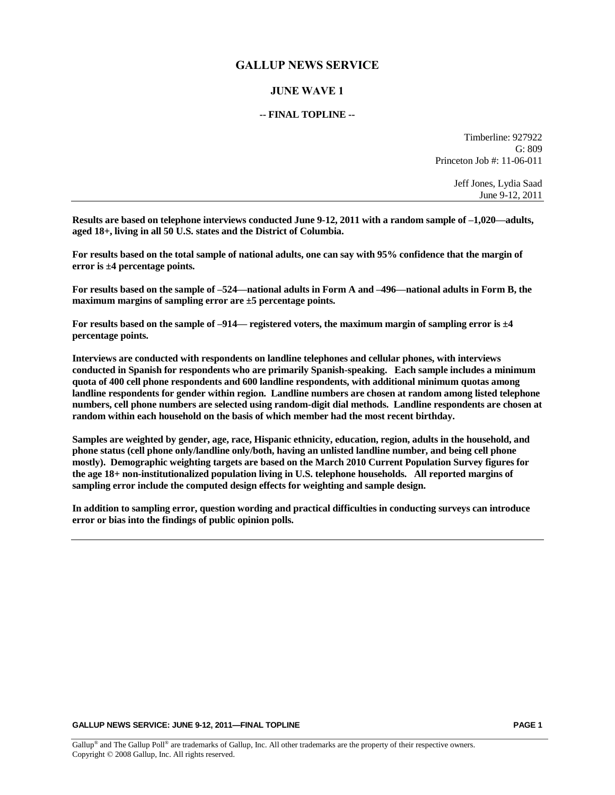## **GALLUP NEWS SERVICE**

## **JUNE WAVE 1**

### **-- FINAL TOPLINE --**

Timberline: 927922 G: 809 Princeton Job #: 11-06-011

> Jeff Jones, Lydia Saad June 9-12, 2011

**Results are based on telephone interviews conducted June 9-12, 2011 with a random sample of –1,020—adults, aged 18+, living in all 50 U.S. states and the District of Columbia.** 

**For results based on the total sample of national adults, one can say with 95% confidence that the margin of error is ±4 percentage points.**

**For results based on the sample of –524—national adults in Form A and –496—national adults in Form B, the maximum margins of sampling error are ±5 percentage points.**

**For results based on the sample of –914— registered voters, the maximum margin of sampling error is ±4 percentage points.**

**Interviews are conducted with respondents on landline telephones and cellular phones, with interviews conducted in Spanish for respondents who are primarily Spanish-speaking. Each sample includes a minimum quota of 400 cell phone respondents and 600 landline respondents, with additional minimum quotas among landline respondents for gender within region. Landline numbers are chosen at random among listed telephone numbers, cell phone numbers are selected using random-digit dial methods. Landline respondents are chosen at random within each household on the basis of which member had the most recent birthday.** 

**Samples are weighted by gender, age, race, Hispanic ethnicity, education, region, adults in the household, and phone status (cell phone only/landline only/both, having an unlisted landline number, and being cell phone mostly). Demographic weighting targets are based on the March 2010 Current Population Survey figures for the age 18+ non-institutionalized population living in U.S. telephone households. All reported margins of sampling error include the computed design effects for weighting and sample design.** 

**In addition to sampling error, question wording and practical difficulties in conducting surveys can introduce error or bias into the findings of public opinion polls.**

**GALLUP NEWS SERVICE: JUNE 9-12, 2011—FINAL TOPLINE PAGE 1**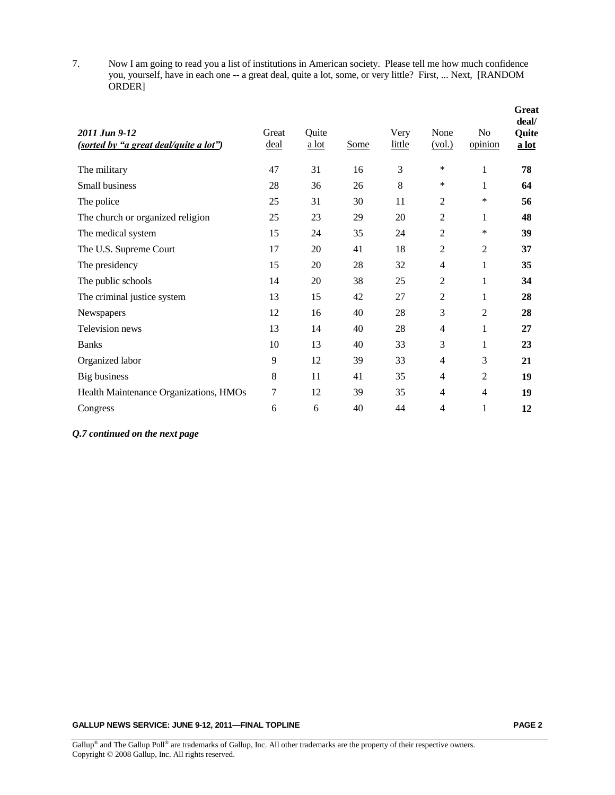7. Now I am going to read you a list of institutions in American society. Please tell me how much confidence you, yourself, have in each one -- a great deal, quite a lot, some, or very little? First, ... Next, [RANDOM ORDER]

| 2011 Jun 9-12<br>( <u>sorted by "a great deal/quite a lot")</u> | Great<br>deal | Quite<br>$a$ lot | Some | Very<br>little | None<br>(vol.) | N <sub>0</sub><br>opinion | <b>Great</b><br>deal/<br>Quite<br>a lot |
|-----------------------------------------------------------------|---------------|------------------|------|----------------|----------------|---------------------------|-----------------------------------------|
| The military                                                    | 47            | 31               | 16   | 3              | *              | $\mathbf{1}$              | 78                                      |
| Small business                                                  | 28            | 36               | 26   | 8              | *              | 1                         | 64                                      |
| The police                                                      | 25            | 31               | 30   | 11             | $\overline{2}$ | *                         | 56                                      |
| The church or organized religion                                | 25            | 23               | 29   | 20             | 2              | 1                         | 48                                      |
| The medical system                                              | 15            | 24               | 35   | 24             | $\overline{2}$ | ∗                         | 39                                      |
| The U.S. Supreme Court                                          | 17            | 20               | 41   | 18             | 2              | 2                         | 37                                      |
| The presidency                                                  | 15            | 20               | 28   | 32             | 4              | 1                         | 35                                      |
| The public schools                                              | 14            | 20               | 38   | 25             | 2              | 1                         | 34                                      |
| The criminal justice system                                     | 13            | 15               | 42   | 27             | 2              | 1                         | 28                                      |
| Newspapers                                                      | 12            | 16               | 40   | 28             | 3              | 2                         | 28                                      |
| Television news                                                 | 13            | 14               | 40   | 28             | 4              | 1                         | 27                                      |
| <b>Banks</b>                                                    | 10            | 13               | 40   | 33             | 3              | 1                         | 23                                      |
| Organized labor                                                 | 9             | 12               | 39   | 33             | 4              | 3                         | 21                                      |
| Big business                                                    | 8             | 11               | 41   | 35             | 4              | $\overline{2}$            | 19                                      |
| Health Maintenance Organizations, HMOs                          | 7             | 12               | 39   | 35             | 4              | $\overline{4}$            | 19                                      |
| Congress                                                        | 6             | 6                | 40   | 44             | 4              | 1                         | 12                                      |

### *Q.7 continued on the next page*